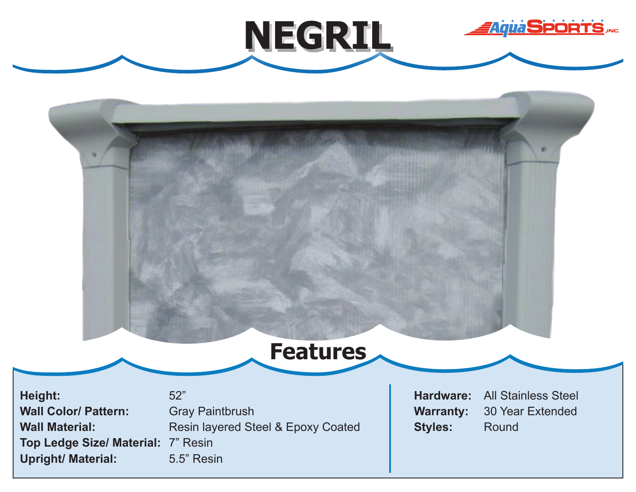



**NEGRIL**

**Height: Wall Color/ Pattern: Wall Material: Top Ledge Size/ Material:** 7" Resin **Upright/ Material:**

52" Gray Paintbrush Resin layered Steel & Epoxy Coated 5.5" Resin

**Hardware: Warranty: Styles:**

All Stainless Steel 30 Year Extended Round